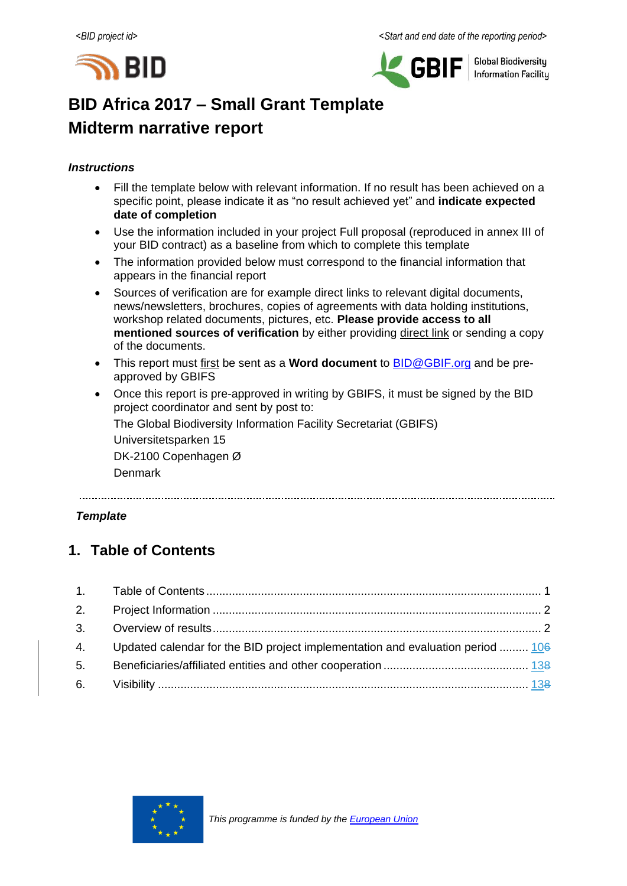



**Global Biodiversity Information Facility** 

# **BID Africa 2017 – Small Grant Template Midterm narrative report**

### *Instructions*

- Fill the template below with relevant information. If no result has been achieved on a specific point, please indicate it as "no result achieved yet" and **indicate expected date of completion**
- Use the information included in your project Full proposal (reproduced in annex III of your BID contract) as a baseline from which to complete this template
- The information provided below must correspond to the financial information that appears in the financial report
- Sources of verification are for example direct links to relevant digital documents, news/newsletters, brochures, copies of agreements with data holding institutions, workshop related documents, pictures, etc. **Please provide access to all mentioned sources of verification** by either providing direct link or sending a copy of the documents.
- This report must first be sent as a **Word document** to [BID@GBIF.org](mailto:BID@GBIF.org) and be preapproved by GBIFS
- Once this report is pre-approved in writing by GBIFS, it must be signed by the BID project coordinator and sent by post to:

The Global Biodiversity Information Facility Secretariat (GBIFS)

Universitetsparken 15

DK-2100 Copenhagen Ø

Denmark

### *Template*

# <span id="page-0-0"></span>**1. Table of Contents**

|    | 4. Updated calendar for the BID project implementation and evaluation period  106 |  |
|----|-----------------------------------------------------------------------------------|--|
| 5. |                                                                                   |  |
|    |                                                                                   |  |

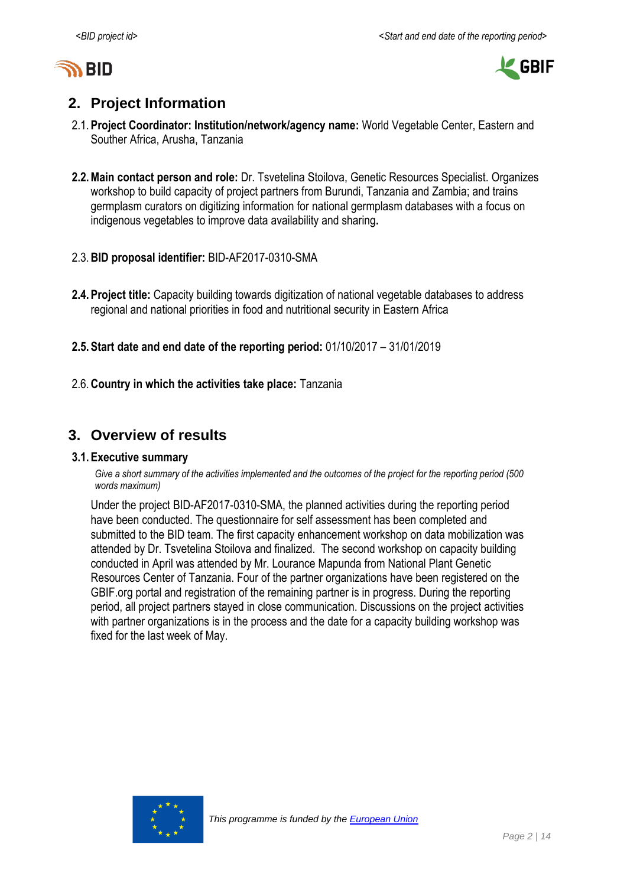



# <span id="page-1-0"></span>**2. Project Information**

- 2.1.**Project Coordinator: Institution/network/agency name:** World Vegetable Center, Eastern and Souther Africa, Arusha, Tanzania
- **2.2.Main contact person and role:** Dr. Tsvetelina Stoilova, Genetic Resources Specialist. Organizes workshop to build capacity of project partners from Burundi, Tanzania and Zambia; and trains germplasm curators on digitizing information for national germplasm databases with a focus on indigenous vegetables to improve data availability and sharing**.**
- 2.3.**BID proposal identifier:** BID-AF2017-0310-SMA
- **2.4.Project title:** Capacity building towards digitization of national vegetable databases to address regional and national priorities in food and nutritional security in Eastern Africa
- **2.5.Start date and end date of the reporting period:** 01/10/2017 31/01/2019
- 2.6.**Country in which the activities take place:** Tanzania

## <span id="page-1-1"></span>**3. Overview of results**

### **3.1.Executive summary**

Give a short summary of the activities implemented and the outcomes of the project for the *reporting period* (500 *words maximum)*

Under the project BID-AF2017-0310-SMA, the planned activities during the reporting period have been conducted. The questionnaire for self assessment has been completed and submitted to the BID team. The first capacity enhancement workshop on data mobilization was attended by Dr. Tsvetelina Stoilova and finalized. The second workshop on capacity building conducted in April was attended by Mr. Lourance Mapunda from National Plant Genetic Resources Center of Tanzania. Four of the partner organizations have been registered on the GBIF.org portal and registration of the remaining partner is in progress. During the reporting period, all project partners stayed in close communication. Discussions on the project activities with partner organizations is in the process and the date for a capacity building workshop was fixed for the last week of May.

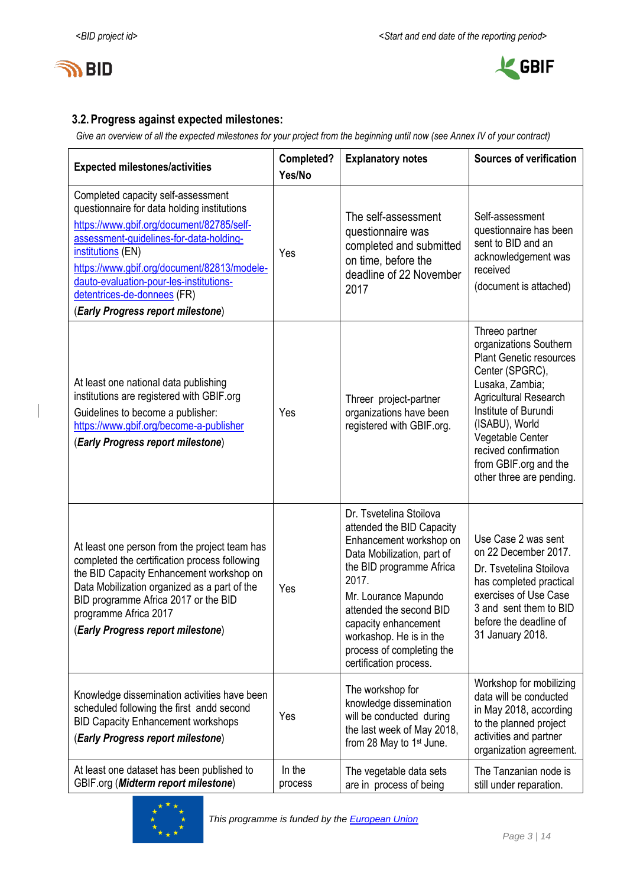



## **3.2.Progress against expected milestones:**

*Give an overview of all the expected milestones for your project from the beginning until now (see Annex IV of your contract)*

| <b>Expected milestones/activities</b>                                                                                                                                                                                                                                                                                                                        | Completed?<br>Yes/No | <b>Explanatory notes</b>                                                                                                                                                                                                                                                                                        | <b>Sources of verification</b>                                                                                                                                                                                                                                                       |  |
|--------------------------------------------------------------------------------------------------------------------------------------------------------------------------------------------------------------------------------------------------------------------------------------------------------------------------------------------------------------|----------------------|-----------------------------------------------------------------------------------------------------------------------------------------------------------------------------------------------------------------------------------------------------------------------------------------------------------------|--------------------------------------------------------------------------------------------------------------------------------------------------------------------------------------------------------------------------------------------------------------------------------------|--|
| Completed capacity self-assessment<br>questionnaire for data holding institutions<br>https://www.gbif.org/document/82785/self-<br>assessment-guidelines-for-data-holding-<br>institutions (EN)<br>https://www.gbif.org/document/82813/modele-<br>dauto-evaluation-pour-les-institutions-<br>detentrices-de-donnees (FR)<br>(Early Progress report milestone) | Yes                  | The self-assessment<br>questionnaire was<br>completed and submitted<br>on time, before the<br>deadline of 22 November<br>2017                                                                                                                                                                                   | Self-assessment<br>questionnaire has been<br>sent to BID and an<br>acknowledgement was<br>received<br>(document is attached)                                                                                                                                                         |  |
| At least one national data publishing<br>institutions are registered with GBIF.org<br>Guidelines to become a publisher:<br>https://www.gbif.org/become-a-publisher<br>(Early Progress report milestone)                                                                                                                                                      | Yes                  | Threer project-partner<br>organizations have been<br>registered with GBIF.org.                                                                                                                                                                                                                                  | Threeo partner<br>organizations Southern<br><b>Plant Genetic resources</b><br>Center (SPGRC),<br>Lusaka, Zambia;<br>Agricultural Research<br>Institute of Burundi<br>(ISABU), World<br>Vegetable Center<br>recived confirmation<br>from GBIF.org and the<br>other three are pending. |  |
| At least one person from the project team has<br>completed the certification process following<br>the BID Capacity Enhancement workshop on<br>Data Mobilization organized as a part of the<br>BID programme Africa 2017 or the BID<br>programme Africa 2017<br>(Early Progress report milestone)                                                             | Yes                  | Dr. Tsvetelina Stoilova<br>attended the BID Capacity<br>Enhancement workshop on<br>Data Mobilization, part of<br>the BID programme Africa<br>2017.<br>Mr. Lourance Mapundo<br>attended the second BID<br>capacity enhancement<br>workashop. He is in the<br>process of completing the<br>certification process. | Use Case 2 was sent<br>on 22 December 2017.<br>Dr. Tsvetelina Stoilova<br>has completed practical<br>exercises of Use Case<br>3 and sent them to BID<br>before the deadline of<br>31 January 2018.                                                                                   |  |
| Knowledge dissemination activities have been<br>scheduled following the first andd second<br><b>BID Capacity Enhancement workshops</b><br>(Early Progress report milestone)                                                                                                                                                                                  | Yes                  | The workshop for<br>knowledge dissemination<br>will be conducted during<br>the last week of May 2018,<br>from 28 May to 1 <sup>st</sup> June.                                                                                                                                                                   | Workshop for mobilizing<br>data will be conducted<br>in May 2018, according<br>to the planned project<br>activities and partner<br>organization agreement.                                                                                                                           |  |
| At least one dataset has been published to<br>GBIF.org (Midterm report milestone)                                                                                                                                                                                                                                                                            | In the<br>process    | The vegetable data sets<br>are in process of being                                                                                                                                                                                                                                                              | The Tanzanian node is<br>still under reparation.                                                                                                                                                                                                                                     |  |

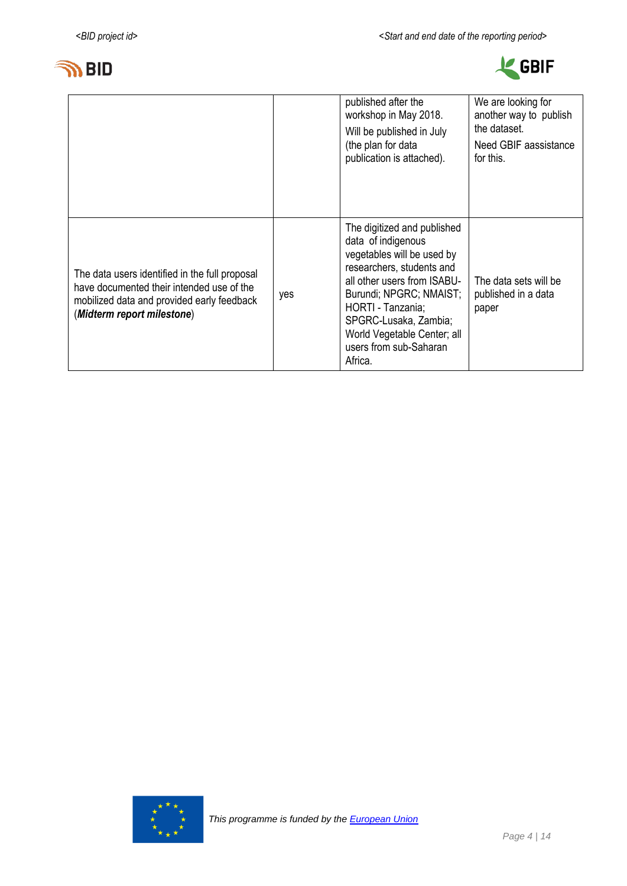



|                                                                                                                                                                         |     | published after the<br>workshop in May 2018.<br>Will be published in July<br>(the plan for data<br>publication is attached).                                                                                                                                                             | We are looking for<br>another way to publish<br>the dataset.<br>Need GBIF aassistance<br>for this. |
|-------------------------------------------------------------------------------------------------------------------------------------------------------------------------|-----|------------------------------------------------------------------------------------------------------------------------------------------------------------------------------------------------------------------------------------------------------------------------------------------|----------------------------------------------------------------------------------------------------|
| The data users identified in the full proposal<br>have documented their intended use of the<br>mobilized data and provided early feedback<br>(Midterm report milestone) | yes | The digitized and published<br>data of indigenous<br>vegetables will be used by<br>researchers, students and<br>all other users from ISABU-<br>Burundi; NPGRC; NMAIST;<br>HORTI - Tanzania;<br>SPGRC-Lusaka, Zambia;<br>World Vegetable Center; all<br>users from sub-Saharan<br>Africa. | The data sets will be<br>published in a data<br>paper                                              |

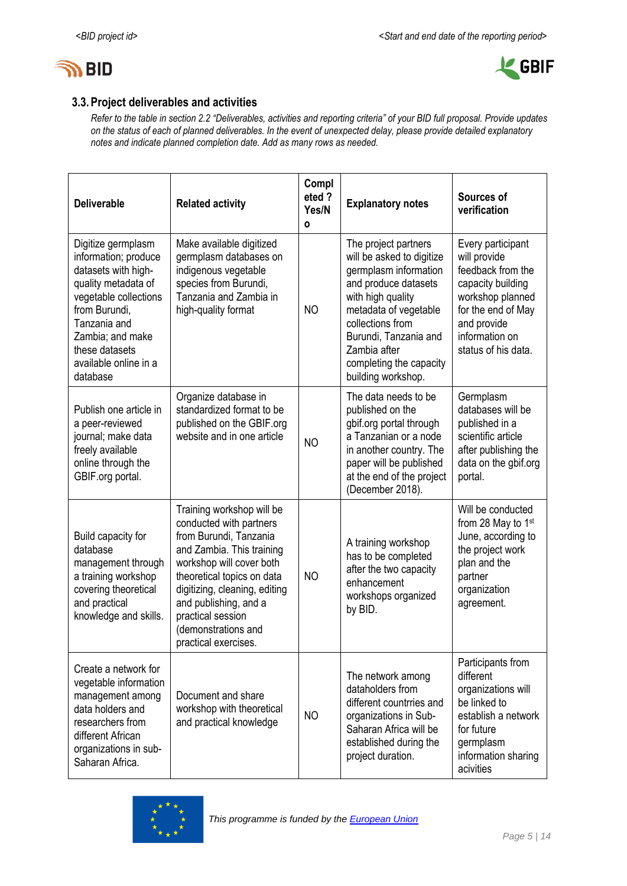



## **3.3.Project deliverables and activities**

*Refer to the table in section 2.2 "Deliverables, activities and reporting criteria" of your BID full proposal. Provide updates on the status of each of planned deliverables. In the event of unexpected delay, please provide detailed explanatory notes and indicate planned completion date. Add as many rows as needed.*

| <b>Deliverable</b>                                                                                                                                                                                                            | <b>Related activity</b>                                                                                                                                                                                                                                                                            | Compl<br>eted ?<br>Yes/N<br>O | <b>Explanatory notes</b>                                                                                                                                                                                                                                       | Sources of<br>verification                                                                                                                                                    |
|-------------------------------------------------------------------------------------------------------------------------------------------------------------------------------------------------------------------------------|----------------------------------------------------------------------------------------------------------------------------------------------------------------------------------------------------------------------------------------------------------------------------------------------------|-------------------------------|----------------------------------------------------------------------------------------------------------------------------------------------------------------------------------------------------------------------------------------------------------------|-------------------------------------------------------------------------------------------------------------------------------------------------------------------------------|
| Digitize germplasm<br>information; produce<br>datasets with high-<br>quality metadata of<br>vegetable collections<br>from Burundi,<br>Tanzania and<br>Zambia; and make<br>these datasets<br>available online in a<br>database | Make available digitized<br>germplasm databases on<br>indigenous vegetable<br>species from Burundi,<br>Tanzania and Zambia in<br>high-quality format                                                                                                                                               | <b>NO</b>                     | The project partners<br>will be asked to digitize<br>germplasm information<br>and produce datasets<br>with high quality<br>metadata of vegetable<br>collections from<br>Burundi, Tanzania and<br>Zambia after<br>completing the capacity<br>building workshop. | Every participant<br>will provide<br>feedback from the<br>capacity building<br>workshop planned<br>for the end of May<br>and provide<br>information on<br>status of his data. |
| Publish one article in<br>a peer-reviewed<br>journal; make data<br>freely available<br>online through the<br>GBIF.org portal.                                                                                                 | Organize database in<br>standardized format to be<br>published on the GBIF.org<br>website and in one article                                                                                                                                                                                       | <b>NO</b>                     | The data needs to be<br>published on the<br>gbif.org portal through<br>a Tanzanian or a node<br>in another country. The<br>paper will be published<br>at the end of the project<br>(December 2018).                                                            | Germplasm<br>databases will be<br>published in a<br>scientific article<br>after publishing the<br>data on the gbif.org<br>portal.                                             |
| Build capacity for<br>database<br>management through<br>a training workshop<br>covering theoretical<br>and practical<br>knowledge and skills.                                                                                 | Training workshop will be<br>conducted with partners<br>from Burundi, Tanzania<br>and Zambia. This training<br>workshop will cover both<br>theoretical topics on data<br>digitizing, cleaning, editing<br>and publishing, and a<br>practical session<br>(demonstrations and<br>practical exercises | <b>NO</b>                     | A training workshop<br>has to be completed<br>after the two capacity<br>enhancement<br>workshops organized<br>by BID.                                                                                                                                          | Will be conducted<br>from 28 May to 1st<br>June, according to<br>the project work<br>plan and the<br>partner<br>organization<br>agreement.                                    |
| Create a network for<br>vegetable information<br>management among<br>data holders and<br>researchers from<br>different African<br>organizations in sub-<br>Saharan Africa.                                                    | Document and share<br>workshop with theoretical<br>and practical knowledge                                                                                                                                                                                                                         | <b>NO</b>                     | The network among<br>dataholders from<br>different countrries and<br>organizations in Sub-<br>Saharan Africa will be<br>established during the<br>project duration.                                                                                            | Participants from<br>different<br>organizations will<br>be linked to<br>establish a network<br>for future<br>germplasm<br>information sharing<br>acivities                    |

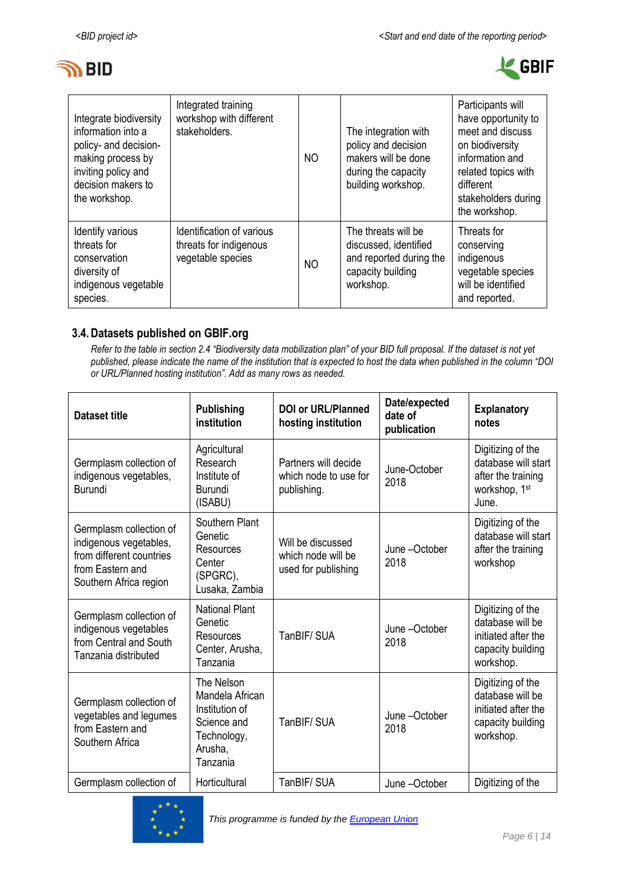



| Integrate biodiversity<br>information into a<br>policy- and decision-<br>making process by<br>inviting policy and<br>decision makers to<br>the workshop. | Integrated training<br>workshop with different<br>stakeholders.          | N <sub>O</sub> | The integration with<br>policy and decision<br>makers will be done<br>during the capacity<br>building workshop. | Participants will<br>have opportunity to<br>meet and discuss<br>on biodiversity<br>information and<br>related topics with<br>different<br>stakeholders during<br>the workshop. |
|----------------------------------------------------------------------------------------------------------------------------------------------------------|--------------------------------------------------------------------------|----------------|-----------------------------------------------------------------------------------------------------------------|--------------------------------------------------------------------------------------------------------------------------------------------------------------------------------|
| Identify various<br>threats for<br>conservation<br>diversity of<br>indigenous vegetable<br>species.                                                      | Identification of various<br>threats for indigenous<br>vegetable species | NO.            | The threats will be<br>discussed, identified<br>and reported during the<br>capacity building<br>workshop.       | Threats for<br>conserving<br>indigenous<br>vegetable species<br>will be identified<br>and reported.                                                                            |

### **3.4.Datasets published on GBIF.org**

*Refer to the table in section 2.4 "Biodiversity data mobilization plan" of your BID full proposal. If the dataset is not yet published, please indicate the name of the institution that is expected to host the data when published in the column "DOI or URL/Planned hosting institution". Add as many rows as needed.*

| <b>Dataset title</b>                                                                                                        | <b>Publishing</b><br>institution                                                                     | <b>DOI or URL/Planned</b><br>hosting institution               | Date/expected<br>date of<br>publication | <b>Explanatory</b><br>notes                                                                    |
|-----------------------------------------------------------------------------------------------------------------------------|------------------------------------------------------------------------------------------------------|----------------------------------------------------------------|-----------------------------------------|------------------------------------------------------------------------------------------------|
| Germplasm collection of<br>indigenous vegetables,<br>Burundi                                                                | Agricultural<br>Research<br>Institute of<br>Burundi<br>(ISABU)                                       | Partners will decide<br>which node to use for<br>publishing.   | June-October<br>2018                    | Digitizing of the<br>database will start<br>after the training<br>workshop, 1st<br>June.       |
| Germplasm collection of<br>indigenous vegetables,<br>from different countries<br>from Eastern and<br>Southern Africa region | Southern Plant<br>Genetic<br>Resources<br>Center<br>(SPGRC),<br>Lusaka, Zambia                       | Will be discussed<br>which node will be<br>used for publishing | June-October<br>2018                    | Digitizing of the<br>database will start<br>after the training<br>workshop                     |
| Germplasm collection of<br>indigenous vegetables<br>from Central and South<br>Tanzania distributed                          | <b>National Plant</b><br>Genetic<br>Resources<br>Center, Arusha,<br>Tanzania                         | TanBIF/ SUA                                                    | June-October<br>2018                    | Digitizing of the<br>database will be<br>initiated after the<br>capacity building<br>workshop. |
| Germplasm collection of<br>vegetables and legumes<br>from Eastern and<br>Southern Africa                                    | The Nelson<br>Mandela African<br>Institution of<br>Science and<br>Technology,<br>Arusha,<br>Tanzania | TanBIF/SUA                                                     | June-October<br>2018                    | Digitizing of the<br>database will be<br>initiated after the<br>capacity building<br>workshop. |
| Germplasm collection of                                                                                                     | Horticultural                                                                                        | TanBIF/SUA                                                     | June -October                           | Digitizing of the                                                                              |

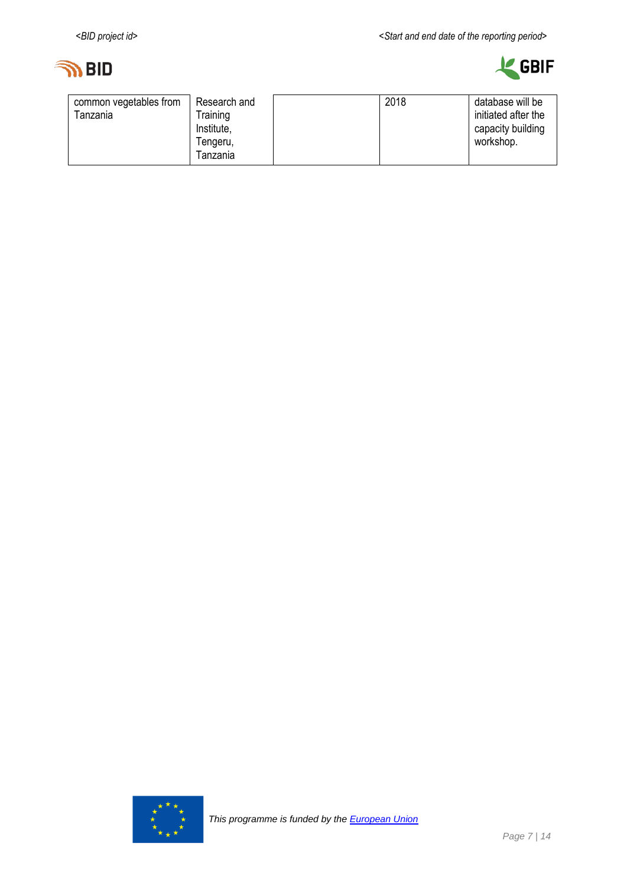



| common vegetables from | Research and | 2018 | database will be    |
|------------------------|--------------|------|---------------------|
| Tanzania               | Training     |      | initiated after the |
|                        | Institute,   |      | capacity building   |
|                        | Tengeru,     |      | workshop.           |
|                        | Tanzania     |      |                     |

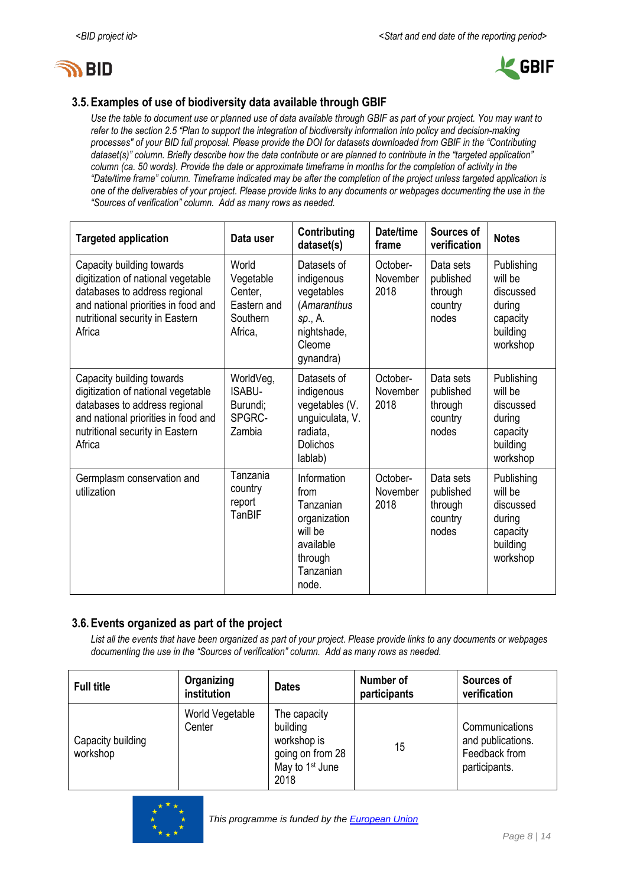



## **3.5.Examples of use of biodiversity data available through GBIF**

*Use the table to document use or planned use of data available through GBIF as part of your project. You may want to refer to the section 2.5 "Plan to support the integration of biodiversity information into policy and decision-making processes" of your BID full proposal. Please provide the DOI for datasets downloaded from GBIF in the "Contributing dataset(s)" column. Briefly describe how the data contribute or are planned to contribute in the "targeted application" column (ca. 50 words). Provide the date or approximate timeframe in months for the completion of activity in the "Date/time frame" column. Timeframe indicated may be after the completion of the project unless targeted application is one of the deliverables of your project. Please provide links to any documents or webpages documenting the use in the "Sources of verification" column. Add as many rows as needed.*

| <b>Targeted application</b>                                                                                                                                                          | Data user                                                           | Contributing<br>dataset(s)                                                                                | Date/time<br>frame           | Sources of<br>verification                            | <b>Notes</b>                                                                     |
|--------------------------------------------------------------------------------------------------------------------------------------------------------------------------------------|---------------------------------------------------------------------|-----------------------------------------------------------------------------------------------------------|------------------------------|-------------------------------------------------------|----------------------------------------------------------------------------------|
| Capacity building towards<br>digitization of national vegetable<br>databases to address regional<br>and national priorities in food and<br>nutritional security in Eastern<br>Africa | World<br>Vegetable<br>Center,<br>Eastern and<br>Southern<br>Africa, | Datasets of<br>indigenous<br>vegetables<br>(Amaranthus<br>sp., A.<br>nightshade,<br>Cleome<br>gynandra)   | October-<br>November<br>2018 | Data sets<br>published<br>through<br>country<br>nodes | Publishing<br>will be<br>discussed<br>during<br>capacity<br>building<br>workshop |
| Capacity building towards<br>digitization of national vegetable<br>databases to address regional<br>and national priorities in food and<br>nutritional security in Eastern<br>Africa | WorldVeg,<br><b>ISABU-</b><br>Burundi;<br>SPGRC-<br>Zambia          | Datasets of<br>indigenous<br>vegetables (V.<br>unguiculata, V.<br>radiata.<br>Dolichos<br>lablab)         | October-<br>November<br>2018 | Data sets<br>published<br>through<br>country<br>nodes | Publishing<br>will be<br>discussed<br>during<br>capacity<br>building<br>workshop |
| Germplasm conservation and<br>utilization                                                                                                                                            | Tanzania<br>country<br>report<br>TanBIF                             | Information<br>from<br>Tanzanian<br>organization<br>will be<br>available<br>through<br>Tanzanian<br>node. | October-<br>November<br>2018 | Data sets<br>published<br>through<br>country<br>nodes | Publishing<br>will be<br>discussed<br>during<br>capacity<br>building<br>workshop |

## **3.6.Events organized as part of the project**

*List all the events that have been organized as part of your project. Please provide links to any documents or webpages documenting the use in the "Sources of verification" column. Add as many rows as needed.*

| <b>Full title</b>             | Organizing<br>institution | <b>Dates</b>                                                                                       | <b>Number of</b><br>participants | Sources of<br>verification                                            |
|-------------------------------|---------------------------|----------------------------------------------------------------------------------------------------|----------------------------------|-----------------------------------------------------------------------|
| Capacity building<br>workshop | World Vegetable<br>Center | The capacity<br>building<br>workshop is<br>going on from 28<br>May to 1 <sup>st</sup> June<br>2018 | 15                               | Communications<br>and publications.<br>Feedback from<br>participants. |

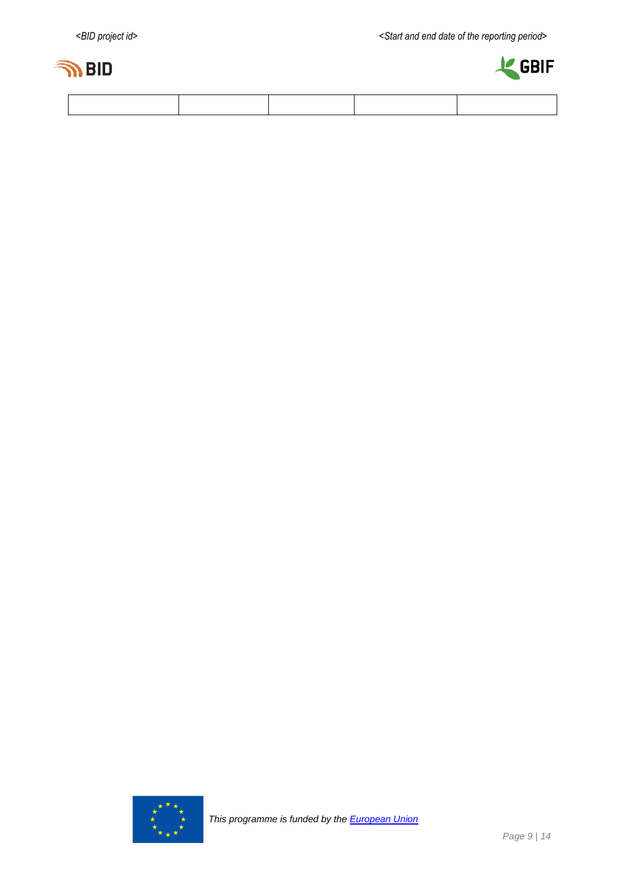



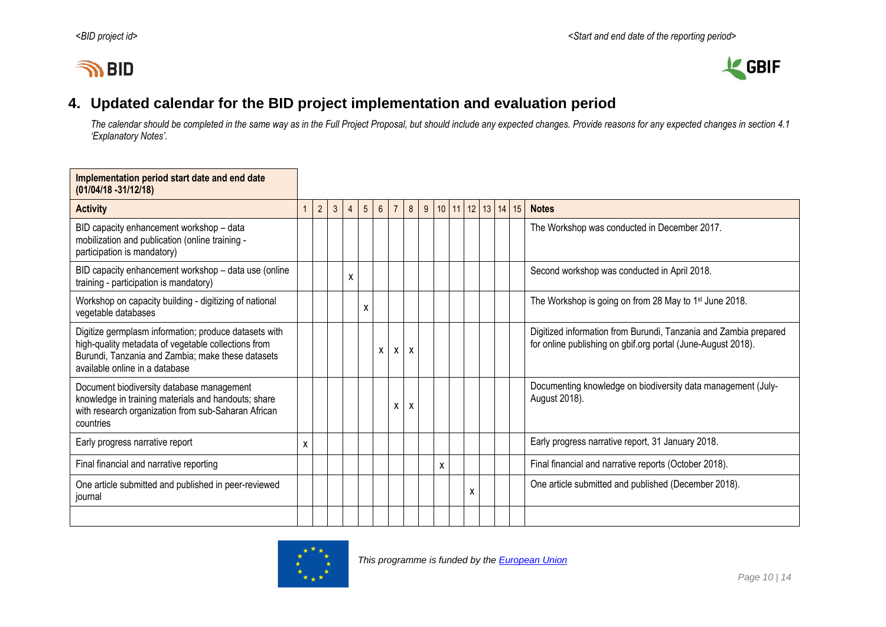# **IN BID**



# **4. Updated calendar for the BID project implementation and evaluation period**

*The calendar should be completed in the same way as in the Full Project Proposal, but should include any expected changes. Provide reasons for any expected changes in section 4.1 'Explanatory Notes'.*

<span id="page-9-0"></span>

| Implementation period start date and end date<br>$(01/04/18 - 31/12/18)$                                                                                                                            |   |                |              |                |                |                 |                |                |   |   |   |                   |                                                                                                                                  |
|-----------------------------------------------------------------------------------------------------------------------------------------------------------------------------------------------------|---|----------------|--------------|----------------|----------------|-----------------|----------------|----------------|---|---|---|-------------------|----------------------------------------------------------------------------------------------------------------------------------|
| <b>Activity</b>                                                                                                                                                                                     |   | $\overline{2}$ | $\mathbf{3}$ | $\overline{4}$ | 5 <sup>5</sup> | $6\overline{6}$ | $\overline{7}$ | 8 <sup>1</sup> | 9 |   |   | 10 11 12 13 14 15 | <b>Notes</b>                                                                                                                     |
| BID capacity enhancement workshop - data<br>mobilization and publication (online training -<br>participation is mandatory)                                                                          |   |                |              |                |                |                 |                |                |   |   |   |                   | The Workshop was conducted in December 2017.                                                                                     |
| BID capacity enhancement workshop - data use (online<br>training - participation is mandatory)                                                                                                      |   |                |              | X              |                |                 |                |                |   |   |   |                   | Second workshop was conducted in April 2018.                                                                                     |
| Workshop on capacity building - digitizing of national<br>vegetable databases                                                                                                                       |   |                |              |                | X              |                 |                |                |   |   |   |                   | The Workshop is going on from 28 May to 1st June 2018.                                                                           |
| Digitize germplasm information; produce datasets with<br>high-quality metadata of vegetable collections from<br>Burundi, Tanzania and Zambia; make these datasets<br>available online in a database |   |                |              |                |                | X               | X              | X              |   |   |   |                   | Digitized information from Burundi, Tanzania and Zambia prepared<br>for online publishing on gbif.org portal (June-August 2018). |
| Document biodiversity database management<br>knowledge in training materials and handouts; share<br>with research organization from sub-Saharan African<br>countries                                |   |                |              |                |                |                 | X              | X              |   |   |   |                   | Documenting knowledge on biodiversity data management (July-<br>August 2018).                                                    |
| Early progress narrative report                                                                                                                                                                     | X |                |              |                |                |                 |                |                |   |   |   |                   | Early progress narrative report, 31 January 2018.                                                                                |
| Final financial and narrative reporting                                                                                                                                                             |   |                |              |                |                |                 |                |                |   | X |   |                   | Final financial and narrative reports (October 2018).                                                                            |
| One article submitted and published in peer-reviewed<br>journal                                                                                                                                     |   |                |              |                |                |                 |                |                |   |   | X |                   | One article submitted and published (December 2018).                                                                             |
|                                                                                                                                                                                                     |   |                |              |                |                |                 |                |                |   |   |   |                   |                                                                                                                                  |

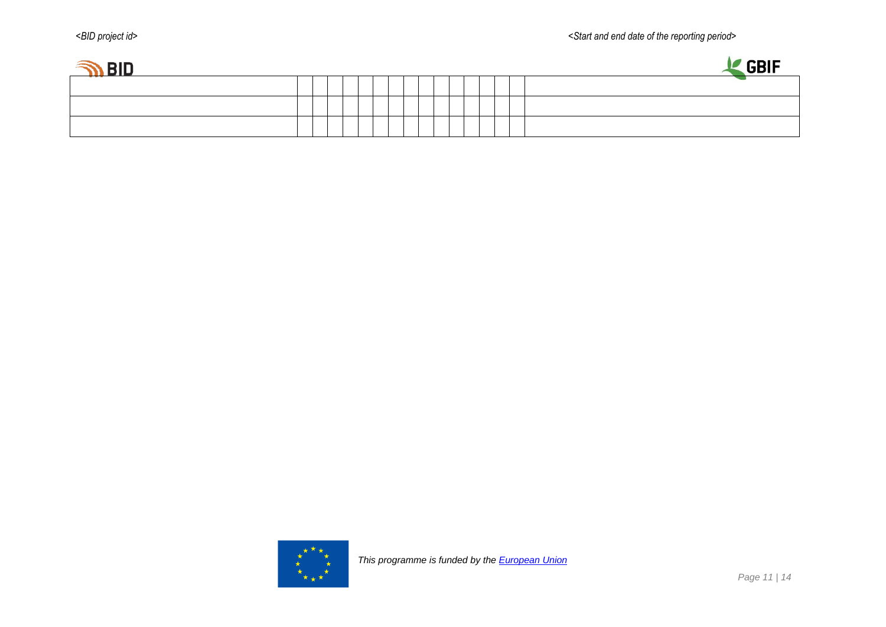| <b>SO BID</b> |  |  |  |  |  |  | LE GBIF |
|---------------|--|--|--|--|--|--|---------|
|               |  |  |  |  |  |  |         |
|               |  |  |  |  |  |  |         |
|               |  |  |  |  |  |  |         |

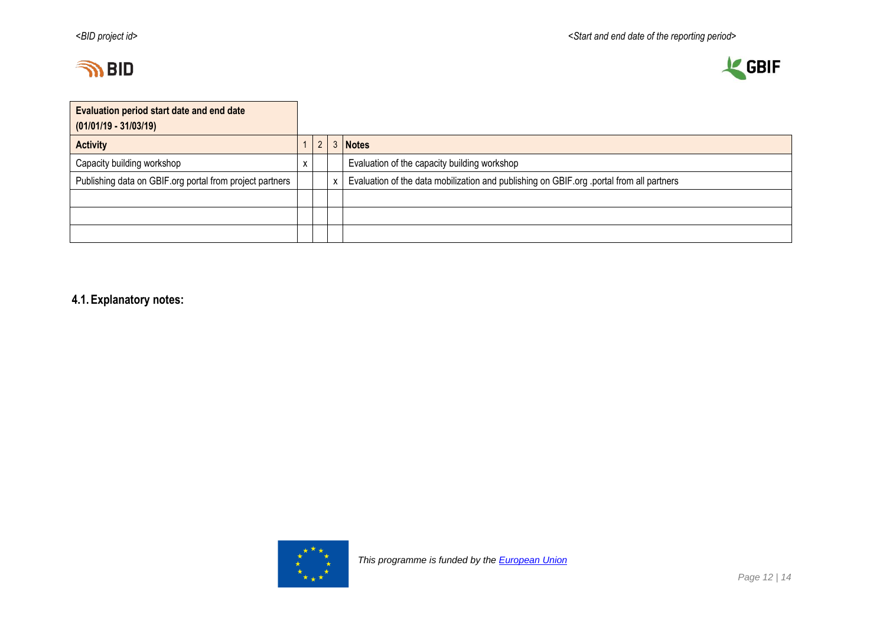



| Evaluation period start date and end date<br>$(01/01/19 - 31/03/19)$ |             |  |                                                                                          |
|----------------------------------------------------------------------|-------------|--|------------------------------------------------------------------------------------------|
| <b>Activity</b>                                                      |             |  | <b>Notes</b>                                                                             |
| Capacity building workshop                                           | $\mathbf v$ |  | Evaluation of the capacity building workshop                                             |
| Publishing data on GBIF org portal from project partners             |             |  | Evaluation of the data mobilization and publishing on GBIF.org .portal from all partners |
|                                                                      |             |  |                                                                                          |
|                                                                      |             |  |                                                                                          |
|                                                                      |             |  |                                                                                          |

**4.1.Explanatory notes:**

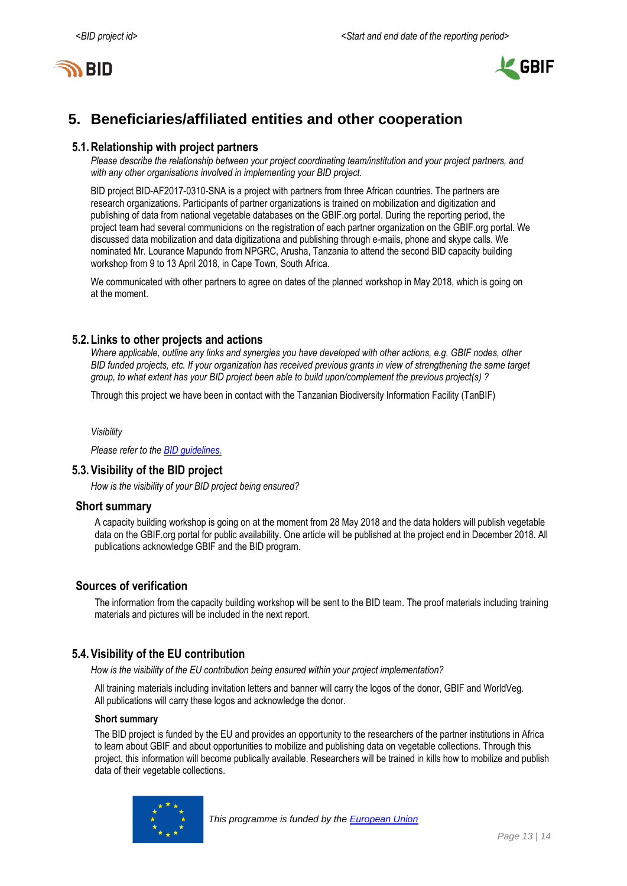

<span id="page-12-1"></span>

# <span id="page-12-0"></span>**5. Beneficiaries/affiliated entities and other cooperation**

### **5.1.Relationship with project partners**

*Please describe the relationship between your project coordinating team/institution and your project partners, and with any other organisations involved in implementing your BID project.*

BID project BID-AF2017-0310-SNA is a project with partners from three African countries. The partners are research organizations. Participants of partner organizations is trained on mobilization and digitization and publishing of data from national vegetable databases on the GBIF.org portal. During the reporting period, the project team had several communicions on the registration of each partner organization on the GBIF.org portal. We discussed data mobilization and data digitizationa and publishing through e-mails, phone and skype calls. We nominated Mr. Lourance Mapundo from NPGRC, Arusha, Tanzania to attend the second BID capacity building workshop from 9 to 13 April 2018, in Cape Town, South Africa.

We communicated with other partners to agree on dates of the planned workshop in May 2018, which is going on at the moment.

### **5.2.Links to other projects and actions**

*Where applicable, outline any links and synergies you have developed with other actions, e.g. GBIF nodes, other BID funded projects, etc. If your organization has received previous grants in view of strengthening the same target group, to what extent has your BID project been able to build upon/complement the previous project(s) ?*

Through this project we have been in contact with the Tanzanian Biodiversity Information Facility (TanBIF)

*Visibility*

*Please refer to th[e BID guidelines.](http://bid.gbif.org/en/community/communication-guidelines/)*

### **5.3.Visibility of the BID project**

*How is the visibility of your BID project being ensured?*

#### **Short summary**

A capacity building workshop is going on at the moment from 28 May 2018 and the data holders will publish vegetable data on the GBIF.org portal for public availability. One article will be published at the project end in December 2018. All publications acknowledge GBIF and the BID program.

### **Sources of verification**

The information from the capacity building workshop will be sent to the BID team. The proof materials including training materials and pictures will be included in the next report.

### **5.4.Visibility of the EU contribution**

*How is the visibility of the EU contribution being ensured within your project implementation?*

All training materials including invitation letters and banner will carry the logos of the donor, GBIF and WorldVeg. All publications will carry these logos and acknowledge the donor.

#### **Short summary**

The BID project is funded by the EU and provides an opportunity to the researchers of the partner institutions in Africa to learn about GBIF and about opportunities to mobilize and publishing data on vegetable collections. Through this project, this information will become publically available. Researchers will be trained in kills how to mobilize and publish data of their vegetable collections.